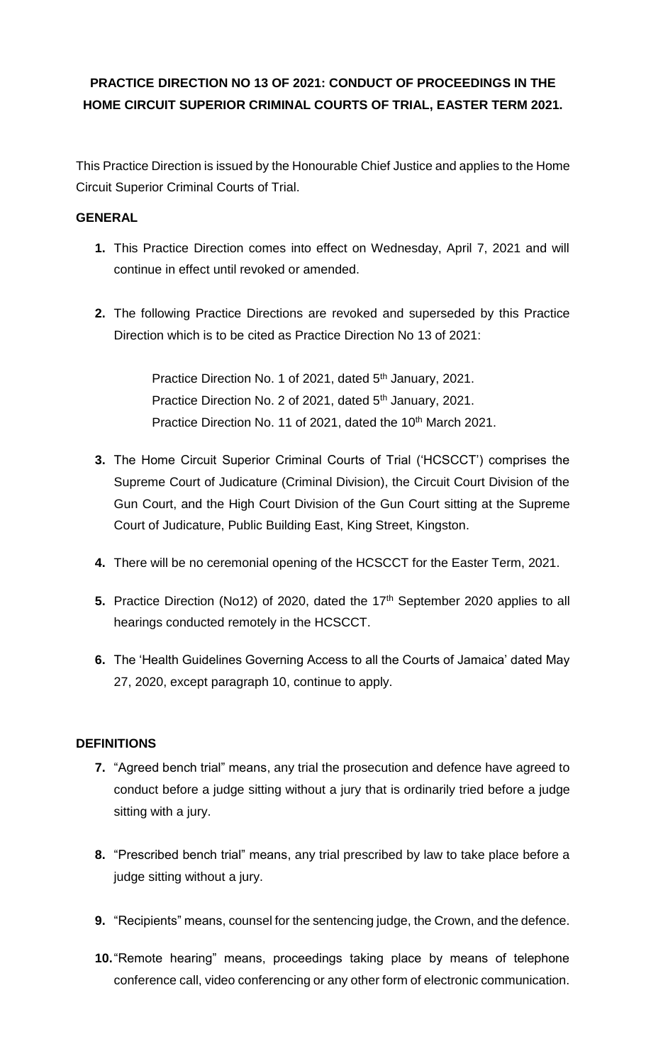# **PRACTICE DIRECTION NO 13 OF 2021: CONDUCT OF PROCEEDINGS IN THE HOME CIRCUIT SUPERIOR CRIMINAL COURTS OF TRIAL, EASTER TERM 2021.**

This Practice Direction is issued by the Honourable Chief Justice and applies to the Home Circuit Superior Criminal Courts of Trial.

## **GENERAL**

- **1.** This Practice Direction comes into effect on Wednesday, April 7, 2021 and will continue in effect until revoked or amended.
- **2.** The following Practice Directions are revoked and superseded by this Practice Direction which is to be cited as Practice Direction No 13 of 2021:

Practice Direction No. 1 of 2021, dated 5<sup>th</sup> January, 2021. Practice Direction No. 2 of 2021, dated 5<sup>th</sup> January, 2021. Practice Direction No. 11 of 2021, dated the 10<sup>th</sup> March 2021.

- **3.** The Home Circuit Superior Criminal Courts of Trial ('HCSCCT') comprises the Supreme Court of Judicature (Criminal Division), the Circuit Court Division of the Gun Court, and the High Court Division of the Gun Court sitting at the Supreme Court of Judicature, Public Building East, King Street, Kingston.
- **4.** There will be no ceremonial opening of the HCSCCT for the Easter Term, 2021.
- **5.** Practice Direction (No12) of 2020, dated the 17<sup>th</sup> September 2020 applies to all hearings conducted remotely in the HCSCCT.
- **6.** The 'Health Guidelines Governing Access to all the Courts of Jamaica' dated May 27, 2020, except paragraph 10, continue to apply.

## **DEFINITIONS**

- **7.** "Agreed bench trial" means, any trial the prosecution and defence have agreed to conduct before a judge sitting without a jury that is ordinarily tried before a judge sitting with a jury.
- **8.** "Prescribed bench trial" means, any trial prescribed by law to take place before a judge sitting without a jury.
- **9.** "Recipients" means, counsel for the sentencing judge, the Crown, and the defence.
- **10.**"Remote hearing" means, proceedings taking place by means of telephone conference call, video conferencing or any other form of electronic communication.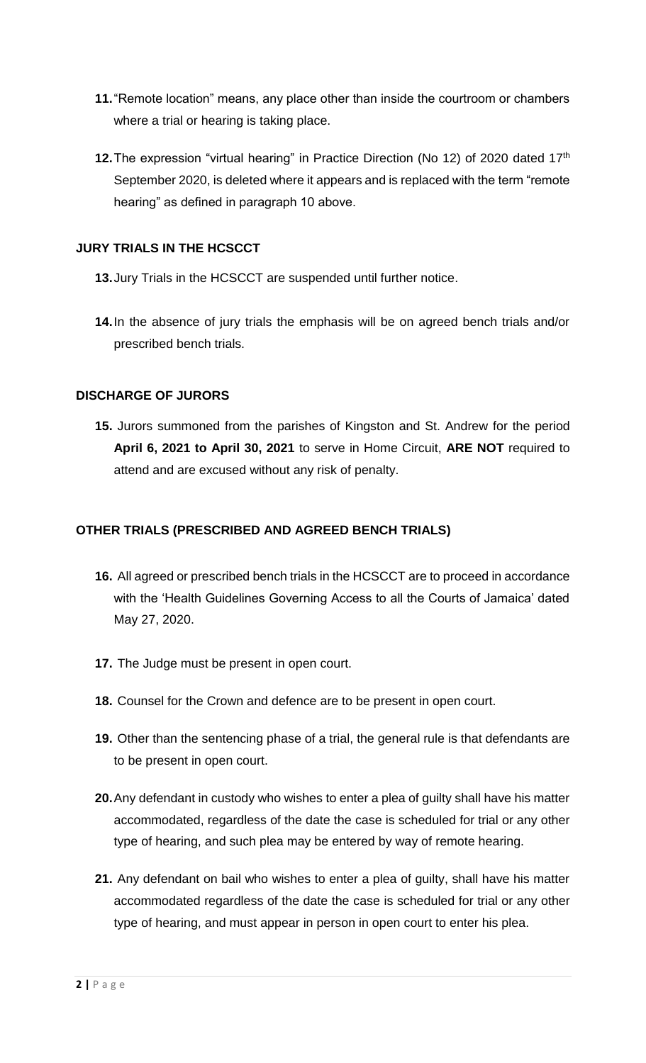- **11.**"Remote location" means, any place other than inside the courtroom or chambers where a trial or hearing is taking place.
- **12.** The expression "virtual hearing" in Practice Direction (No 12) of 2020 dated 17<sup>th</sup> September 2020, is deleted where it appears and is replaced with the term "remote hearing" as defined in paragraph 10 above.

#### **JURY TRIALS IN THE HCSCCT**

- **13.**Jury Trials in the HCSCCT are suspended until further notice.
- **14.**In the absence of jury trials the emphasis will be on agreed bench trials and/or prescribed bench trials.

#### **DISCHARGE OF JURORS**

**15.** Jurors summoned from the parishes of Kingston and St. Andrew for the period **April 6, 2021 to April 30, 2021** to serve in Home Circuit, **ARE NOT** required to attend and are excused without any risk of penalty.

#### **OTHER TRIALS (PRESCRIBED AND AGREED BENCH TRIALS)**

- **16.** All agreed or prescribed bench trials in the HCSCCT are to proceed in accordance with the 'Health Guidelines Governing Access to all the Courts of Jamaica' dated May 27, 2020.
- **17.** The Judge must be present in open court.
- **18.** Counsel for the Crown and defence are to be present in open court.
- **19.** Other than the sentencing phase of a trial, the general rule is that defendants are to be present in open court.
- **20.**Any defendant in custody who wishes to enter a plea of guilty shall have his matter accommodated, regardless of the date the case is scheduled for trial or any other type of hearing, and such plea may be entered by way of remote hearing.
- **21.** Any defendant on bail who wishes to enter a plea of guilty, shall have his matter accommodated regardless of the date the case is scheduled for trial or any other type of hearing, and must appear in person in open court to enter his plea.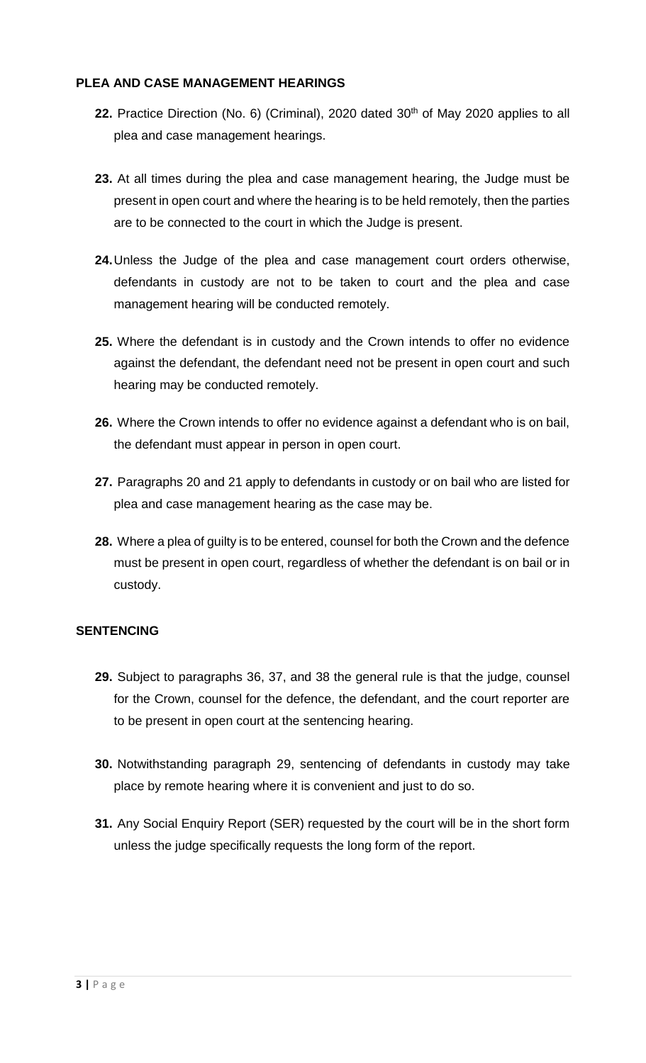#### **PLEA AND CASE MANAGEMENT HEARINGS**

- 22. Practice Direction (No. 6) (Criminal), 2020 dated 30<sup>th</sup> of May 2020 applies to all plea and case management hearings.
- **23.** At all times during the plea and case management hearing, the Judge must be present in open court and where the hearing is to be held remotely, then the parties are to be connected to the court in which the Judge is present.
- **24.**Unless the Judge of the plea and case management court orders otherwise, defendants in custody are not to be taken to court and the plea and case management hearing will be conducted remotely.
- **25.** Where the defendant is in custody and the Crown intends to offer no evidence against the defendant, the defendant need not be present in open court and such hearing may be conducted remotely.
- **26.** Where the Crown intends to offer no evidence against a defendant who is on bail, the defendant must appear in person in open court.
- **27.** Paragraphs 20 and 21 apply to defendants in custody or on bail who are listed for plea and case management hearing as the case may be.
- **28.** Where a plea of guilty is to be entered, counsel for both the Crown and the defence must be present in open court, regardless of whether the defendant is on bail or in custody.

## **SENTENCING**

- **29.** Subject to paragraphs 36, 37, and 38 the general rule is that the judge, counsel for the Crown, counsel for the defence, the defendant, and the court reporter are to be present in open court at the sentencing hearing.
- **30.** Notwithstanding paragraph 29, sentencing of defendants in custody may take place by remote hearing where it is convenient and just to do so.
- **31.** Any Social Enquiry Report (SER) requested by the court will be in the short form unless the judge specifically requests the long form of the report.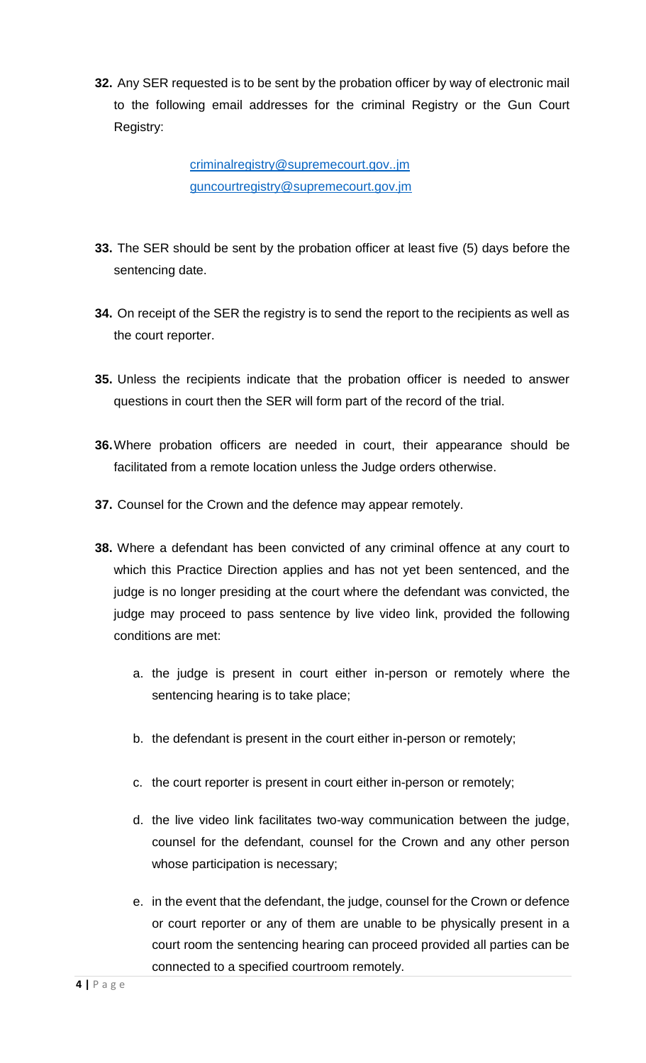**32.** Any SER requested is to be sent by the probation officer by way of electronic mail to the following email addresses for the criminal Registry or the Gun Court Registry:

> criminalregistry@supremecourt.gov..jm guncourtregistry@supremecourt.gov.jm

- **33.** The SER should be sent by the probation officer at least five (5) days before the sentencing date.
- **34.** On receipt of the SER the registry is to send the report to the recipients as well as the court reporter.
- **35.** Unless the recipients indicate that the probation officer is needed to answer questions in court then the SER will form part of the record of the trial.
- **36.**Where probation officers are needed in court, their appearance should be facilitated from a remote location unless the Judge orders otherwise.
- **37.** Counsel for the Crown and the defence may appear remotely.
- **38.** Where a defendant has been convicted of any criminal offence at any court to which this Practice Direction applies and has not yet been sentenced, and the judge is no longer presiding at the court where the defendant was convicted, the judge may proceed to pass sentence by live video link, provided the following conditions are met:
	- a. the judge is present in court either in-person or remotely where the sentencing hearing is to take place;
	- b. the defendant is present in the court either in-person or remotely;
	- c. the court reporter is present in court either in-person or remotely;
	- d. the live video link facilitates two-way communication between the judge, counsel for the defendant, counsel for the Crown and any other person whose participation is necessary;
	- e. in the event that the defendant, the judge, counsel for the Crown or defence or court reporter or any of them are unable to be physically present in a court room the sentencing hearing can proceed provided all parties can be connected to a specified courtroom remotely.